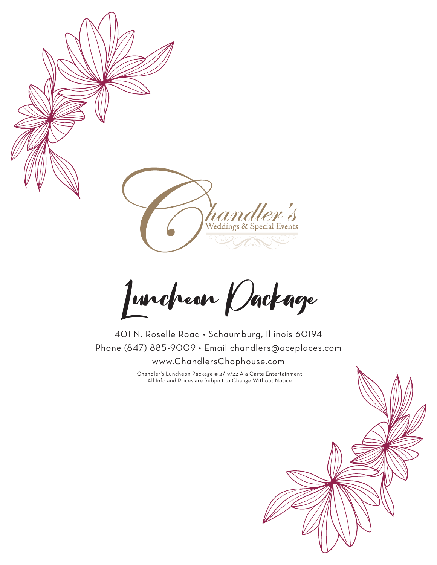

Luncheon Package

401 N. Roselle Road • Schaumburg, Illinois 60194 Phone (847) 885-9009 • Email chandlers@aceplaces.com www.ChandlersChophouse.com

> Chandler's Luncheon Package © 4/19/22 Ala Carte Entertainment All Info and Prices are Subject to Change Without Notice

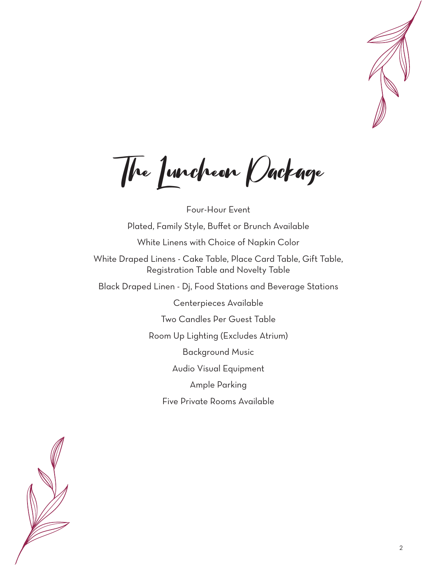

The Luncheon Package

Four-Hour Event Plated, Family Style, Buffet or Brunch Available White Linens with Choice of Napkin Color White Draped Linens - Cake Table, Place Card Table, Gift Table, Registration Table and Novelty Table Black Draped Linen - Dj, Food Stations and Beverage Stations Centerpieces Available Two Candles Per Guest Table Room Up Lighting (Excludes Atrium) Background Music Audio Visual Equipment Ample Parking Five Private Rooms Available

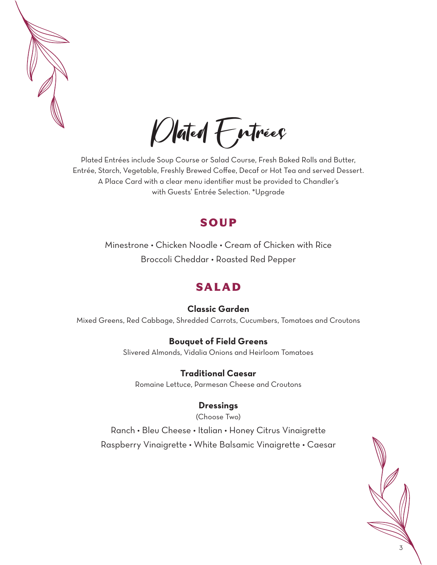

Plated Entrées

Plated Entrées include Soup Course or Salad Course, Fresh Baked Rolls and Butter, Entrée, Starch, Vegetable, Freshly Brewed Coffee, Decaf or Hot Tea and served Dessert. A Place Card with a clear menu identifier must be provided to Chandler's with Guests' Entrée Selection. \*Upgrade

## SOUP

Minestrone • Chicken Noodle • Cream of Chicken with Rice Broccoli Cheddar • Roasted Red Pepper

# SALAD

## **Classic Garden**

Mixed Greens, Red Cabbage, Shredded Carrots, Cucumbers, Tomatoes and Croutons

### **Bouquet of Field Greens**

Slivered Almonds, Vidalia Onions and Heirloom Tomatoes

**Traditional Caesar** Romaine Lettuce, Parmesan Cheese and Croutons

## **Dressings**

(Choose Two)

Ranch • Bleu Cheese • Italian • Honey Citrus Vinaigrette Raspberry Vinaigrette • White Balsamic Vinaigrette • Caesar

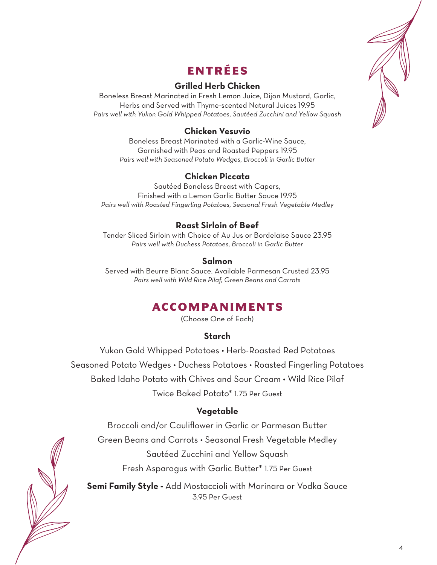

# ENTRÉES

## **Grilled Herb Chicken**

Boneless Breast Marinated in Fresh Lemon Juice, Dijon Mustard, Garlic, Herbs and Served with Thyme-scented Natural Juices 19.95 *Pairs well with Yukon Gold Whipped Potatoes, Sautéed Zucchini and Yellow Squash*

## **Chicken Vesuvio**

Boneless Breast Marinated with a Garlic-Wine Sauce, Garnished with Peas and Roasted Peppers 19.95 *Pairs well with Seasoned Potato Wedges, Broccoli in Garlic Butter*

### **Chicken Piccata**

Sautéed Boneless Breast with Capers, Finished with a Lemon Garlic Butter Sauce 19.95 *Pairs well with Roasted Fingerling Potatoes, Seasonal Fresh Vegetable Medley* 

## **Roast Sirloin of Beef**

Tender Sliced Sirloin with Choice of Au Jus or Bordelaise Sauce 23.95 *Pairs well with Duchess Potatoes, Broccoli in Garlic Butter*

### **Salmon**

Served with Beurre Blanc Sauce. Available Parmesan Crusted 23.95 *Pairs well with Wild Rice Pilaf, Green Beans and Carrots*

# ACCOMPANIMENTS

(Choose One of Each)

## **Starch**

Yukon Gold Whipped Potatoes • Herb-Roasted Red Potatoes Seasoned Potato Wedges • Duchess Potatoes • Roasted Fingerling Potatoes Baked Idaho Potato with Chives and Sour Cream • Wild Rice Pilaf Twice Baked Potato\* 1.75 Per Guest

## **Vegetable**

Broccoli and/or Cauliflower in Garlic or Parmesan Butter Green Beans and Carrots • Seasonal Fresh Vegetable Medley

Sautéed Zucchini and Yellow Squash

Fresh Asparagus with Garlic Butter\* 1.75 Per Guest

**Semi Family Style -** Add Mostaccioli with Marinara or Vodka Sauce 3.95 Per Guest

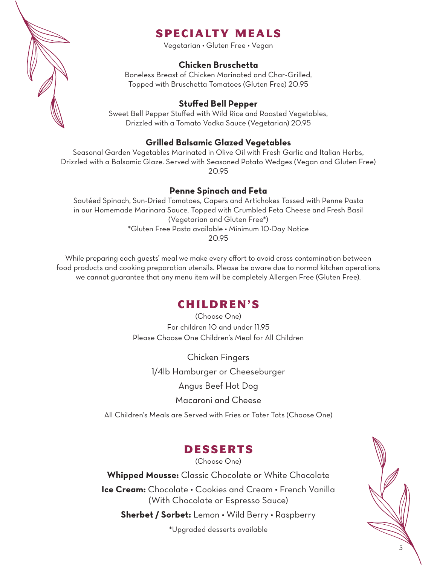

# SPECIALTY MEALS

Vegetarian • Gluten Free • Vegan

### **Chicken Bruschetta**

Boneless Breast of Chicken Marinated and Char-Grilled, Topped with Bruschetta Tomatoes (Gluten Free) 20.95

### **Stuffed Bell Pepper**

Sweet Bell Pepper Stuffed with Wild Rice and Roasted Vegetables, Drizzled with a Tomato Vodka Sauce (Vegetarian) 20.95

### **Grilled Balsamic Glazed Vegetables**

Seasonal Garden Vegetables Marinated in Olive Oil with Fresh Garlic and Italian Herbs, Drizzled with a Balsamic Glaze. Served with Seasoned Potato Wedges (Vegan and Gluten Free) 20.95

### **Penne Spinach and Feta**

Sautéed Spinach, Sun-Dried Tomatoes, Capers and Artichokes Tossed with Penne Pasta in our Homemade Marinara Sauce. Topped with Crumbled Feta Cheese and Fresh Basil (Vegetarian and Gluten Free\*) \*Gluten Free Pasta available • Minimum 10-Day Notice 20.95

While preparing each guests' meal we make every effort to avoid cross contamination between food products and cooking preparation utensils. Please be aware due to normal kitchen operations we cannot guarantee that any menu item will be completely Allergen Free (Gluten Free).

## CHILDREN'S

(Choose One) For children 10 and under 11.95 Please Choose One Children's Meal for All Children

Chicken Fingers 1/4lb Hamburger or Cheeseburger Angus Beef Hot Dog Macaroni and Cheese

All Children's Meals are Served with Fries or Tater Tots (Choose One)

## DESSERTS

(Choose One)

**Whipped Mousse:** Classic Chocolate or White Chocolate **Ice Cream:** Chocolate • Cookies and Cream • French Vanilla (With Chocolate or Espresso Sauce)

**Sherbet / Sorbet:** Lemon • Wild Berry • Raspberry

\*Upgraded desserts available

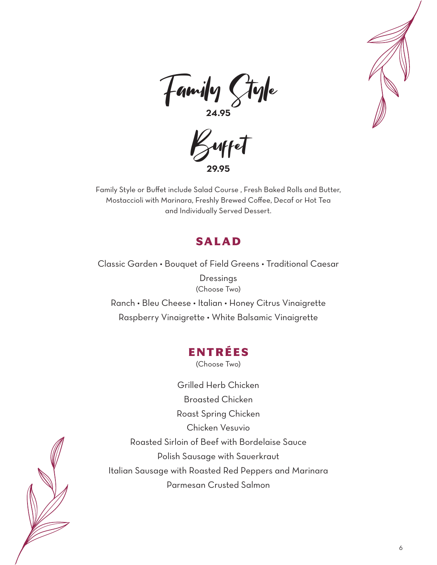





Family Style or Buffet include Salad Course , Fresh Baked Rolls and Butter, Mostaccioli with Marinara, Freshly Brewed Coffee, Decaf or Hot Tea and Individually Served Dessert.

# SALAD

Classic Garden • Bouquet of Field Greens • Traditional Caesar **Dressings** (Choose Two) Ranch • Bleu Cheese • Italian • Honey Citrus Vinaigrette Raspberry Vinaigrette • White Balsamic Vinaigrette

## ENTRÉES

(Choose Two)

Grilled Herb Chicken Broasted Chicken Roast Spring Chicken Chicken Vesuvio Roasted Sirloin of Beef with Bordelaise Sauce Polish Sausage with Sauerkraut Italian Sausage with Roasted Red Peppers and Marinara Parmesan Crusted Salmon

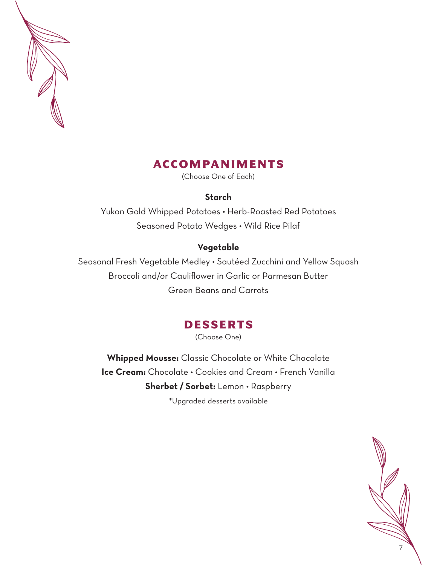

# ACCOMPANIMENTS

(Choose One of Each)

### **Starch**

Yukon Gold Whipped Potatoes • Herb-Roasted Red Potatoes Seasoned Potato Wedges • Wild Rice Pilaf

### **Vegetable**

Seasonal Fresh Vegetable Medley • Sautéed Zucchini and Yellow Squash Broccoli and/or Cauliflower in Garlic or Parmesan Butter Green Beans and Carrots

# DESSERTS

(Choose One)

**Whipped Mousse:** Classic Chocolate or White Chocolate **Ice Cream:** Chocolate • Cookies and Cream • French Vanilla **Sherbet / Sorbet:** Lemon • Raspberry \*Upgraded desserts available

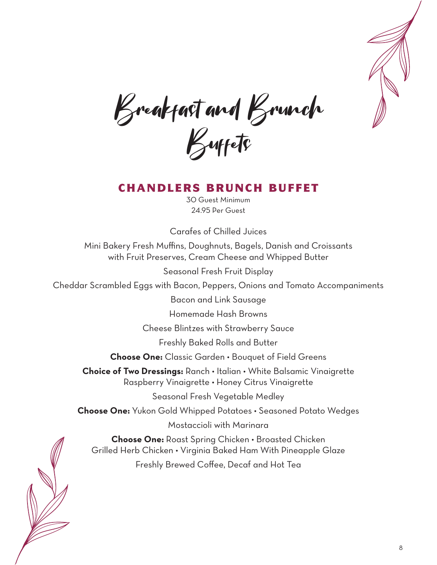

Breakfast and Brunch Buffets

# CHANDLERS BRUNCH BUFFET

30 Guest Minimum 24.95 Per Guest

Carafes of Chilled Juices

Mini Bakery Fresh Muffins, Doughnuts, Bagels, Danish and Croissants with Fruit Preserves, Cream Cheese and Whipped Butter

Seasonal Fresh Fruit Display

Cheddar Scrambled Eggs with Bacon, Peppers, Onions and Tomato Accompaniments

Bacon and Link Sausage

Homemade Hash Browns

Cheese Blintzes with Strawberry Sauce

Freshly Baked Rolls and Butter

**Choose One:** Classic Garden • Bouquet of Field Greens

**Choice of Two Dressings:** Ranch • Italian • White Balsamic Vinaigrette Raspberry Vinaigrette • Honey Citrus Vinaigrette

Seasonal Fresh Vegetable Medley

**Choose One:** Yukon Gold Whipped Potatoes • Seasoned Potato Wedges

Mostaccioli with Marinara

**Choose One:** Roast Spring Chicken • Broasted Chicken Grilled Herb Chicken • Virginia Baked Ham With Pineapple Glaze Freshly Brewed Coffee, Decaf and Hot Tea

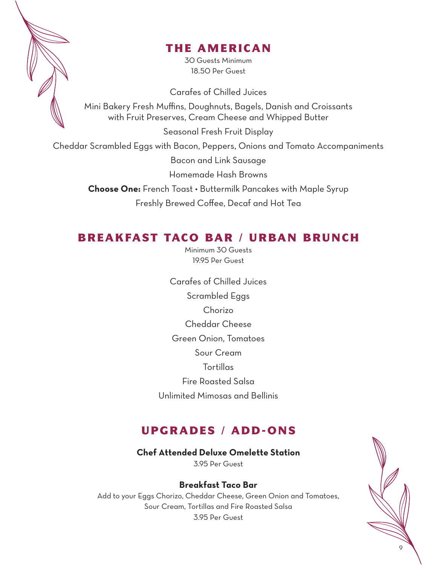

# THE AMERICAN

30 Guests Minimum 18.50 Per Guest

Carafes of Chilled Juices

Mini Bakery Fresh Muffins, Doughnuts, Bagels, Danish and Croissants with Fruit Preserves, Cream Cheese and Whipped Butter

Seasonal Fresh Fruit Display

Cheddar Scrambled Eggs with Bacon, Peppers, Onions and Tomato Accompaniments

Bacon and Link Sausage

Homemade Hash Browns

**Choose One:** French Toast • Buttermilk Pancakes with Maple Syrup Freshly Brewed Coffee, Decaf and Hot Tea

# BREAKFAST TACO BAR / URBAN BRUNCH

Minimum 30 Guests 19.95 Per Guest

Carafes of Chilled Juices Scrambled Eggs Chorizo Cheddar Cheese Green Onion, Tomatoes Sour Cream Tortillas Fire Roasted Salsa Unlimited Mimosas and Bellinis

# UPGRADES / ADD-ONS

**Chef Attended Deluxe Omelette Station**

3.95 Per Guest

## **Breakfast Taco Bar**

Add to your Eggs Chorizo, Cheddar Cheese, Green Onion and Tomatoes, Sour Cream, Tortillas and Fire Roasted Salsa 3.95 Per Guest

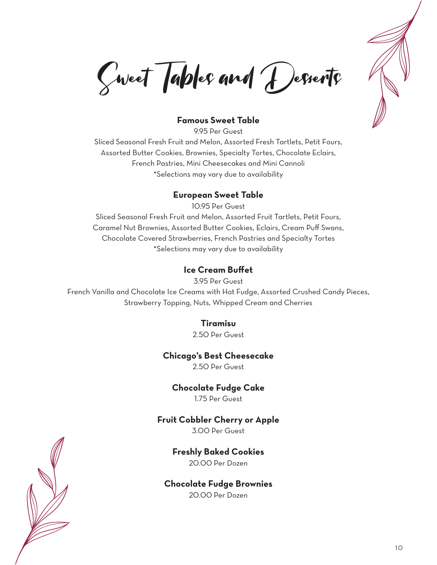

Sweet Tables and Desserts

### **Famous Sweet Table**

9.95 Per Guest Sliced Seasonal Fresh Fruit and Melon, Assorted Fresh Tartlets, Petit Fours, Assorted Butter Cookies, Brownies, Specialty Tortes, Chocolate Eclairs, French Pastries, Mini Cheesecakes and Mini Cannoli \*Selections may vary due to availability

#### **European Sweet Table**

10.95 Per Guest

Sliced Seasonal Fresh Fruit and Melon, Assorted Fruit Tartlets, Petit Fours, Caramel Nut Brownies, Assorted Butter Cookies, Eclairs, Cream Puff Swans, Chocolate Covered Strawberries, French Pastries and Specialty Tortes \*Selections may vary due to availability

#### **Ice Cream Buffet**

3.95 Per Guest French Vanilla and Chocolate Ice Creams with Hot Fudge, Assorted Crushed Candy Pieces, Strawberry Topping, Nuts, Whipped Cream and Cherries

### **Tiramisu**

2.50 Per Guest

#### **Chicago's Best Cheesecake**

2.50 Per Guest

#### **Chocolate Fudge Cake**

1.75 Per Guest

#### **Fruit Cobbler Cherry or Apple**

3.00 Per Guest

#### **Freshly Baked Cookies**

20.00 Per Dozen

#### **Chocolate Fudge Brownies**

20.00 Per Dozen

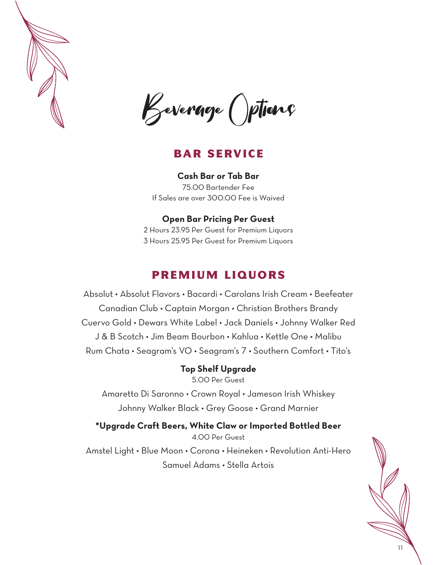

Keverage () ptions

## BAR SERVICE

**Cash Bar or Tab Bar** 75.00 Bartender Fee If Sales are over 300.00 Fee is Waived

### **Open Bar Pricing Per Guest**

2 Hours 23.95 Per Guest for Premium Liquors 3 Hours 25.95 Per Guest for Premium Liquors

## PREMIUM LIQUORS

Absolut • Absolut Flavors • Bacardi • Carolans Irish Cream • Beefeater Canadian Club • Captain Morgan • Christian Brothers Brandy Cuervo Gold • Dewars White Label • Jack Daniels • Johnny Walker Red J & B Scotch • Jim Beam Bourbon • Kahlua • Kettle One • Malibu Rum Chata • Seagram's VO • Seagram's 7 • Southern Comfort • Tito's

## **Top Shelf Upgrade**

5.00 Per Guest

Amaretto Di Saronno • Crown Royal • Jameson Irish Whiskey Johnny Walker Black • Grey Goose • Grand Marnier

**\*Upgrade Craft Beers, White Claw or Imported Bottled Beer** 4.00 Per Guest Amstel Light • Blue Moon • Corona • Heineken • Revolution Anti-Hero Samuel Adams • Stella Artois

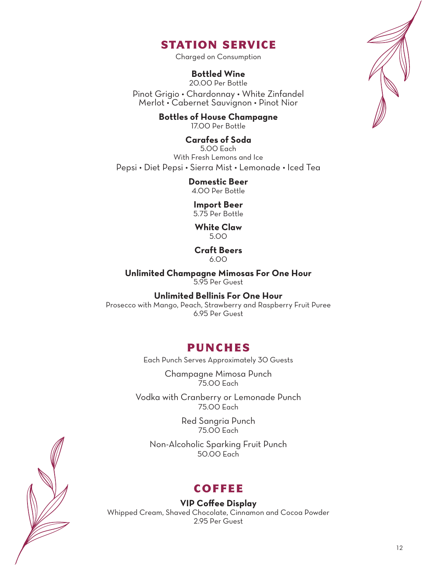# STATION SERVICE

Charged on Consumption

## **Bottled Wine**

20.00 Per Bottle

Pinot Grigio • Chardonnay • White Zinfandel Merlot • Cabernet Sauvignon • Pinot Nior

> **Bottles of House Champagne** 17.00 Per Bottle

**Carafes of Soda** 5.00 Each With Fresh Lemons and Ice Pepsi • Diet Pepsi • Sierra Mist • Lemonade • Iced Tea

> **Domestic Beer** 4.00 Per Bottle

**Import Beer** 5.75 Per Bottle

**White Claw** 5.00

#### **Craft Beers** 6.00

**Unlimited Champagne Mimosas For One Hour** 5.95 Per Guest

**Unlimited Bellinis For One Hour**

Prosecco with Mango, Peach, Strawberry and Raspberry Fruit Puree 6.95 Per Guest

## PUNCHES

Each Punch Serves Approximately 30 Guests

Champagne Mimosa Punch 75.00 Each

Vodka with Cranberry or Lemonade Punch 75.00 Each

> Red Sangria Punch 75.00 Each

Non-Alcoholic Sparking Fruit Punch 50.00 Each

# **COFFEE**

**VIP Coffee Display**

Whipped Cream, Shaved Chocolate, Cinnamon and Cocoa Powder 2.95 Per Guest

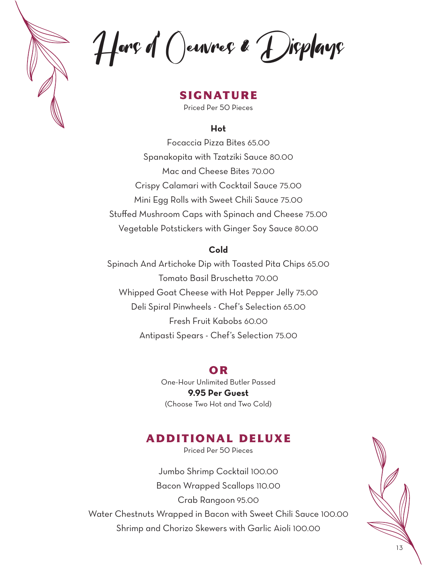Hors d' Oeuvres & Displays

**SIGNATURE** 

Priced Per 50 Pieces

### **Hot**

Focaccia Pizza Bites 65.00 Spanakopita with Tzatziki Sauce 80.00 Mac and Cheese Bites 70.00 Crispy Calamari with Cocktail Sauce 75.00 Mini Egg Rolls with Sweet Chili Sauce 75.00 Stuffed Mushroom Caps with Spinach and Cheese 75.00 Vegetable Potstickers with Ginger Soy Sauce 80.00

### **Cold**

Spinach And Artichoke Dip with Toasted Pita Chips 65.00 Tomato Basil Bruschetta 70.00 Whipped Goat Cheese with Hot Pepper Jelly 75.00 Deli Spiral Pinwheels - Chef's Selection 65.00 Fresh Fruit Kabobs 60.00 Antipasti Spears - Chef's Selection 75.00

## OR

One-Hour Unlimited Butler Passed **9.95 Per Guest** (Choose Two Hot and Two Cold)

## ADDITIONAL DELUXE

Priced Per 50 Pieces

Jumbo Shrimp Cocktail 100.00 Bacon Wrapped Scallops 110.00 Crab Rangoon 95.00 Water Chestnuts Wrapped in Bacon with Sweet Chili Sauce 100.00 Shrimp and Chorizo Skewers with Garlic Aioli 100.00

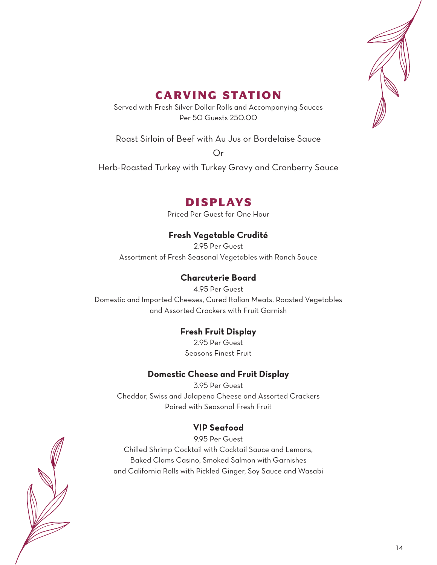

# CARVING STATION

Served with Fresh Silver Dollar Rolls and Accompanying Sauces Per 50 Guests 250.00

Roast Sirloin of Beef with Au Jus or Bordelaise Sauce

Or

Herb-Roasted Turkey with Turkey Gravy and Cranberry Sauce

# DISPLAYS

Priced Per Guest for One Hour

## **Fresh Vegetable Crudité**

2.95 Per Guest Assortment of Fresh Seasonal Vegetables with Ranch Sauce

## **Charcuterie Board**

4.95 Per Guest Domestic and Imported Cheeses, Cured Italian Meats, Roasted Vegetables and Assorted Crackers with Fruit Garnish

## **Fresh Fruit Display**

2.95 Per Guest Seasons Finest Fruit

## **Domestic Cheese and Fruit Display**

3.95 Per Guest Cheddar, Swiss and Jalapeno Cheese and Assorted Crackers Paired with Seasonal Fresh Fruit

## **VIP Seafood**

9.95 Per Guest Chilled Shrimp Cocktail with Cocktail Sauce and Lemons, Baked Clams Casino, Smoked Salmon with Garnishes and California Rolls with Pickled Ginger, Soy Sauce and Wasabi